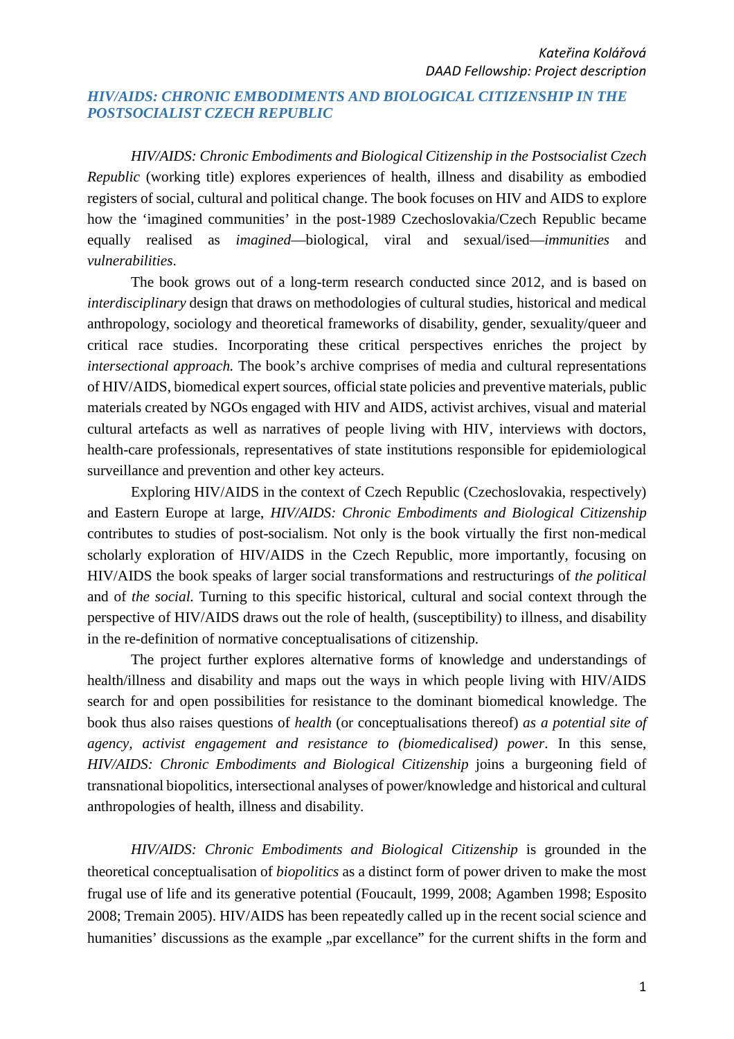## *HIV/AIDS: CHRONIC EMBODIMENTS AND BIOLOGICAL CITIZENSHIP IN THE POSTSOCIALIST CZECH REPUBLIC*

*HIV/AIDS: Chronic Embodiments and Biological Citizenship in the Postsocialist Czech Republic* (working title) explores experiences of health, illness and disability as embodied registers of social, cultural and political change. The book focuses on HIV and AIDS to explore how the 'imagined communities' in the post-1989 Czechoslovakia/Czech Republic became equally realised as *imagined*—biological, viral and sexual/ised—*immunities* and *vulnerabilities*.

The book grows out of a long-term research conducted since 2012, and is based on *interdisciplinary* design that draws on methodologies of cultural studies, historical and medical anthropology, sociology and theoretical frameworks of disability, gender, sexuality/queer and critical race studies. Incorporating these critical perspectives enriches the project by *intersectional approach.* The book's archive comprises of media and cultural representations of HIV/AIDS, biomedical expert sources, official state policies and preventive materials, public materials created by NGOs engaged with HIV and AIDS, activist archives, visual and material cultural artefacts as well as narratives of people living with HIV, interviews with doctors, health-care professionals, representatives of state institutions responsible for epidemiological surveillance and prevention and other key acteurs.

Exploring HIV/AIDS in the context of Czech Republic (Czechoslovakia, respectively) and Eastern Europe at large, *HIV/AIDS: Chronic Embodiments and Biological Citizenship*  contributes to studies of post-socialism. Not only is the book virtually the first non-medical scholarly exploration of HIV/AIDS in the Czech Republic, more importantly, focusing on HIV/AIDS the book speaks of larger social transformations and restructurings of *the political* and of *the social.* Turning to this specific historical, cultural and social context through the perspective of HIV/AIDS draws out the role of health, (susceptibility) to illness, and disability in the re-definition of normative conceptualisations of citizenship.

The project further explores alternative forms of knowledge and understandings of health/illness and disability and maps out the ways in which people living with HIV/AIDS search for and open possibilities for resistance to the dominant biomedical knowledge. The book thus also raises questions of *health* (or conceptualisations thereof) *as a potential site of agency, activist engagement and resistance to (biomedicalised) power*. In this sense, *HIV/AIDS: Chronic Embodiments and Biological Citizenship* joins a burgeoning field of transnational biopolitics, intersectional analyses of power/knowledge and historical and cultural anthropologies of health, illness and disability.

*HIV/AIDS: Chronic Embodiments and Biological Citizenship* is grounded in the theoretical conceptualisation of *biopolitics* as a distinct form of power driven to make the most frugal use of life and its generative potential (Foucault, 1999, 2008; Agamben 1998; Esposito 2008; Tremain 2005). HIV/AIDS has been repeatedly called up in the recent social science and humanities' discussions as the example "par excellance" for the current shifts in the form and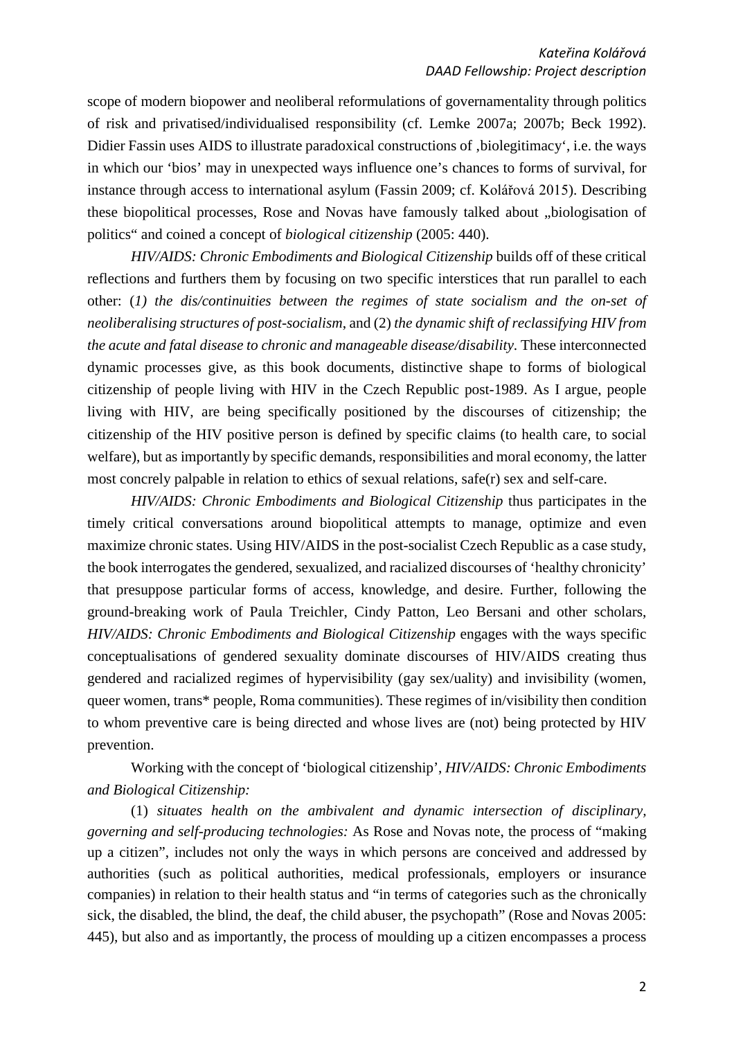scope of modern biopower and neoliberal reformulations of governamentality through politics of risk and privatised/individualised responsibility (cf. Lemke 2007a; 2007b; Beck 1992). Didier Fassin uses AIDS to illustrate paradoxical constructions of , biolegitimacy', i.e. the ways in which our 'bios' may in unexpected ways influence one's chances to forms of survival, for instance through access to international asylum (Fassin 2009; cf. Kolářová 2015). Describing these biopolitical processes, Rose and Novas have famously talked about "biologisation of politics" and coined a concept of *biological citizenship* (2005: 440).

*HIV/AIDS: Chronic Embodiments and Biological Citizenship* builds off of these critical reflections and furthers them by focusing on two specific interstices that run parallel to each other: (*1) the dis/continuities between the regimes of state socialism and the on-set of neoliberalising structures of post-socialism*, and (2) *the dynamic shift of reclassifying HIV from the acute and fatal disease to chronic and manageable disease/disability*. These interconnected dynamic processes give, as this book documents, distinctive shape to forms of biological citizenship of people living with HIV in the Czech Republic post-1989. As I argue, people living with HIV, are being specifically positioned by the discourses of citizenship; the citizenship of the HIV positive person is defined by specific claims (to health care, to social welfare), but as importantly by specific demands, responsibilities and moral economy, the latter most concrely palpable in relation to ethics of sexual relations, safe(r) sex and self-care.

*HIV/AIDS: Chronic Embodiments and Biological Citizenship* thus participates in the timely critical conversations around biopolitical attempts to manage, optimize and even maximize chronic states. Using HIV/AIDS in the post-socialist Czech Republic as a case study, the book interrogates the gendered, sexualized, and racialized discourses of 'healthy chronicity' that presuppose particular forms of access, knowledge, and desire. Further, following the ground-breaking work of Paula Treichler, Cindy Patton, Leo Bersani and other scholars, *HIV/AIDS: Chronic Embodiments and Biological Citizenship* engages with the ways specific conceptualisations of gendered sexuality dominate discourses of HIV/AIDS creating thus gendered and racialized regimes of hypervisibility (gay sex/uality) and invisibility (women, queer women, trans\* people, Roma communities). These regimes of in/visibility then condition to whom preventive care is being directed and whose lives are (not) being protected by HIV prevention.

Working with the concept of 'biological citizenship', *HIV/AIDS: Chronic Embodiments and Biological Citizenship:*

(1) *situates health on the ambivalent and dynamic intersection of disciplinary, governing and self-producing technologies:* As Rose and Novas note, the process of "making up a citizen", includes not only the ways in which persons are conceived and addressed by authorities (such as political authorities, medical professionals, employers or insurance companies) in relation to their health status and "in terms of categories such as the chronically sick, the disabled, the blind, the deaf, the child abuser, the psychopath" (Rose and Novas 2005: 445), but also and as importantly, the process of moulding up a citizen encompasses a process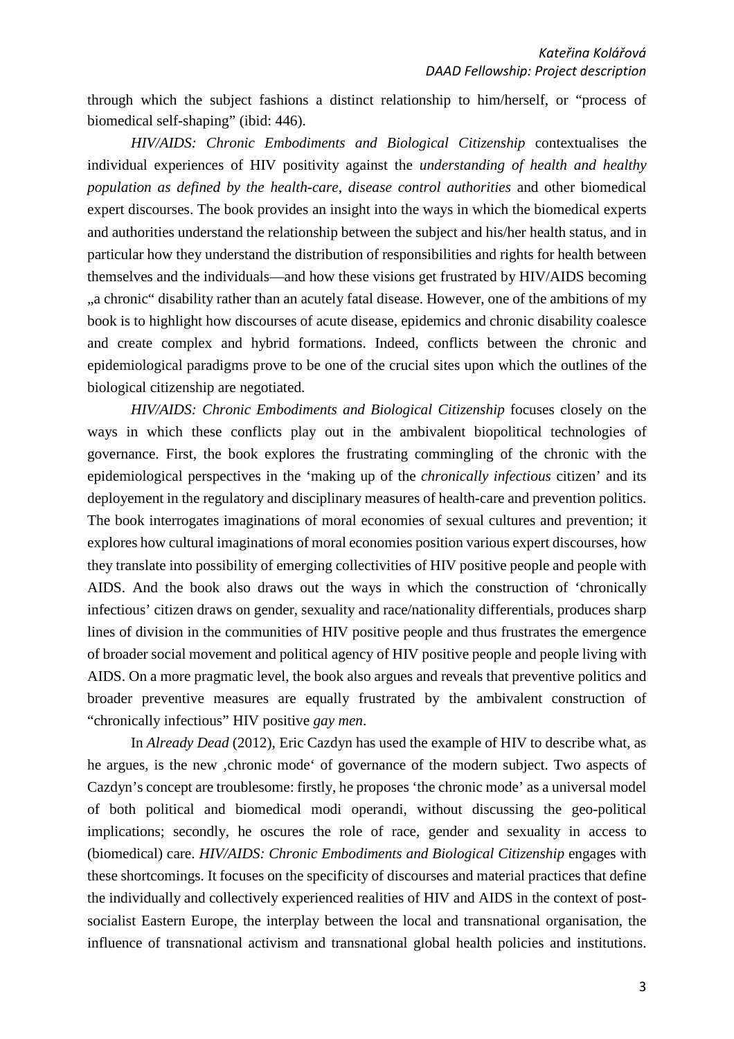through which the subject fashions a distinct relationship to him/herself, or "process of biomedical self-shaping" (ibid: 446).

*HIV/AIDS: Chronic Embodiments and Biological Citizenship* contextualises the individual experiences of HIV positivity against the *understanding of health and healthy population as defined by the health-care, disease control authorities* and other biomedical expert discourses. The book provides an insight into the ways in which the biomedical experts and authorities understand the relationship between the subject and his/her health status, and in particular how they understand the distribution of responsibilities and rights for health between themselves and the individuals—and how these visions get frustrated by HIV/AIDS becoming ", a chronic" disability rather than an acutely fatal disease. However, one of the ambitions of my book is to highlight how discourses of acute disease, epidemics and chronic disability coalesce and create complex and hybrid formations. Indeed, conflicts between the chronic and epidemiological paradigms prove to be one of the crucial sites upon which the outlines of the biological citizenship are negotiated.

*HIV/AIDS: Chronic Embodiments and Biological Citizenship* focuses closely on the ways in which these conflicts play out in the ambivalent biopolitical technologies of governance. First, the book explores the frustrating commingling of the chronic with the epidemiological perspectives in the 'making up of the *chronically infectious* citizen' and its deployement in the regulatory and disciplinary measures of health-care and prevention politics. The book interrogates imaginations of moral economies of sexual cultures and prevention; it explores how cultural imaginations of moral economies position various expert discourses, how they translate into possibility of emerging collectivities of HIV positive people and people with AIDS. And the book also draws out the ways in which the construction of 'chronically infectious' citizen draws on gender, sexuality and race/nationality differentials, produces sharp lines of division in the communities of HIV positive people and thus frustrates the emergence of broader social movement and political agency of HIV positive people and people living with AIDS. On a more pragmatic level, the book also argues and reveals that preventive politics and broader preventive measures are equally frustrated by the ambivalent construction of "chronically infectious" HIV positive *gay men*.

In *Already Dead* (2012), Eric Cazdyn has used the example of HIV to describe what, as he argues, is the new , chronic mode of governance of the modern subject. Two aspects of Cazdyn's concept are troublesome: firstly, he proposes 'the chronic mode' as a universal model of both political and biomedical modi operandi, without discussing the geo-political implications; secondly, he oscures the role of race, gender and sexuality in access to (biomedical) care. *HIV/AIDS: Chronic Embodiments and Biological Citizenship* engages with these shortcomings. It focuses on the specificity of discourses and material practices that define the individually and collectively experienced realities of HIV and AIDS in the context of postsocialist Eastern Europe, the interplay between the local and transnational organisation, the influence of transnational activism and transnational global health policies and institutions.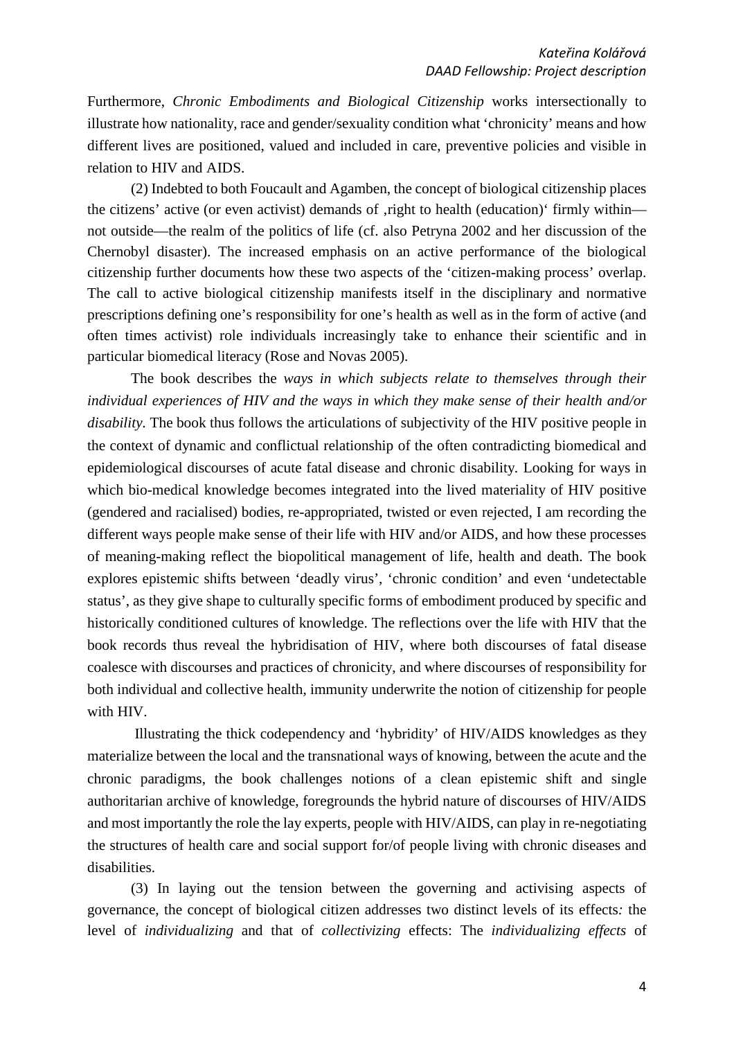Furthermore, *Chronic Embodiments and Biological Citizenship* works intersectionally to illustrate how nationality, race and gender/sexuality condition what 'chronicity' means and how different lives are positioned, valued and included in care, preventive policies and visible in relation to HIV and AIDS.

(2) Indebted to both Foucault and Agamben, the concept of biological citizenship places the citizens' active (or even activist) demands of ,right to health (education)' firmly within not outside—the realm of the politics of life (cf. also Petryna 2002 and her discussion of the Chernobyl disaster). The increased emphasis on an active performance of the biological citizenship further documents how these two aspects of the 'citizen-making process' overlap. The call to active biological citizenship manifests itself in the disciplinary and normative prescriptions defining one's responsibility for one's health as well as in the form of active (and often times activist) role individuals increasingly take to enhance their scientific and in particular biomedical literacy (Rose and Novas 2005).

The book describes the *ways in which subjects relate to themselves through their individual experiences of HIV and the ways in which they make sense of their health and/or disability.* The book thus follows the articulations of subjectivity of the HIV positive people in the context of dynamic and conflictual relationship of the often contradicting biomedical and epidemiological discourses of acute fatal disease and chronic disability*.* Looking for ways in which bio-medical knowledge becomes integrated into the lived materiality of HIV positive (gendered and racialised) bodies, re-appropriated, twisted or even rejected, I am recording the different ways people make sense of their life with HIV and/or AIDS, and how these processes of meaning-making reflect the biopolitical management of life, health and death. The book explores epistemic shifts between 'deadly virus', 'chronic condition' and even 'undetectable status', as they give shape to culturally specific forms of embodiment produced by specific and historically conditioned cultures of knowledge. The reflections over the life with HIV that the book records thus reveal the hybridisation of HIV, where both discourses of fatal disease coalesce with discourses and practices of chronicity, and where discourses of responsibility for both individual and collective health, immunity underwrite the notion of citizenship for people with HIV.

Illustrating the thick codependency and 'hybridity' of HIV/AIDS knowledges as they materialize between the local and the transnational ways of knowing, between the acute and the chronic paradigms, the book challenges notions of a clean epistemic shift and single authoritarian archive of knowledge, foregrounds the hybrid nature of discourses of HIV/AIDS and most importantly the role the lay experts, people with HIV/AIDS, can play in re-negotiating the structures of health care and social support for/of people living with chronic diseases and disabilities.

(3) In laying out the tension between the governing and activising aspects of governance, the concept of biological citizen addresses two distinct levels of its effects*:* the level of *individualizing* and that of *collectivizing* effects: The *individualizing effects* of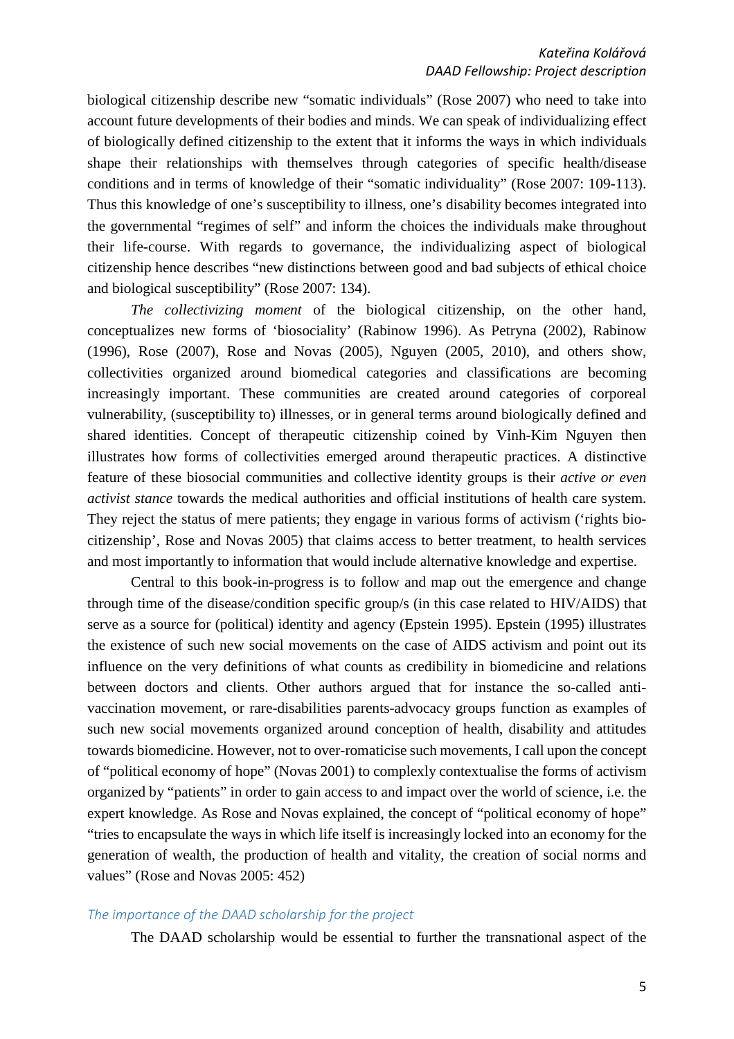biological citizenship describe new "somatic individuals" (Rose 2007) who need to take into account future developments of their bodies and minds. We can speak of individualizing effect of biologically defined citizenship to the extent that it informs the ways in which individuals shape their relationships with themselves through categories of specific health/disease conditions and in terms of knowledge of their "somatic individuality" (Rose 2007: 109-113). Thus this knowledge of one's susceptibility to illness, one's disability becomes integrated into the governmental "regimes of self" and inform the choices the individuals make throughout their life-course. With regards to governance, the individualizing aspect of biological citizenship hence describes "new distinctions between good and bad subjects of ethical choice and biological susceptibility" (Rose 2007: 134).

*The collectivizing moment* of the biological citizenship, on the other hand, conceptualizes new forms of 'biosociality' (Rabinow 1996). As Petryna (2002), Rabinow (1996), Rose (2007), Rose and Novas (2005), Nguyen (2005, 2010), and others show, collectivities organized around biomedical categories and classifications are becoming increasingly important. These communities are created around categories of corporeal vulnerability, (susceptibility to) illnesses, or in general terms around biologically defined and shared identities. Concept of therapeutic citizenship coined by Vinh-Kim Nguyen then illustrates how forms of collectivities emerged around therapeutic practices. A distinctive feature of these biosocial communities and collective identity groups is their *active or even activist stance* towards the medical authorities and official institutions of health care system. They reject the status of mere patients; they engage in various forms of activism ('rights biocitizenship', Rose and Novas 2005) that claims access to better treatment, to health services and most importantly to information that would include alternative knowledge and expertise.

Central to this book-in-progress is to follow and map out the emergence and change through time of the disease/condition specific group/s (in this case related to HIV/AIDS) that serve as a source for (political) identity and agency (Epstein 1995). Epstein (1995) illustrates the existence of such new social movements on the case of AIDS activism and point out its influence on the very definitions of what counts as credibility in biomedicine and relations between doctors and clients. Other authors argued that for instance the so-called antivaccination movement, or rare-disabilities parents-advocacy groups function as examples of such new social movements organized around conception of health, disability and attitudes towards biomedicine. However, not to over-romaticise such movements, I call upon the concept of "political economy of hope" (Novas 2001) to complexly contextualise the forms of activism organized by "patients" in order to gain access to and impact over the world of science, i.e. the expert knowledge. As Rose and Novas explained, the concept of "political economy of hope" "tries to encapsulate the ways in which life itself is increasingly locked into an economy for the generation of wealth, the production of health and vitality, the creation of social norms and values" (Rose and Novas 2005: 452)

## *The importance of the DAAD scholarship for the project*

The DAAD scholarship would be essential to further the transnational aspect of the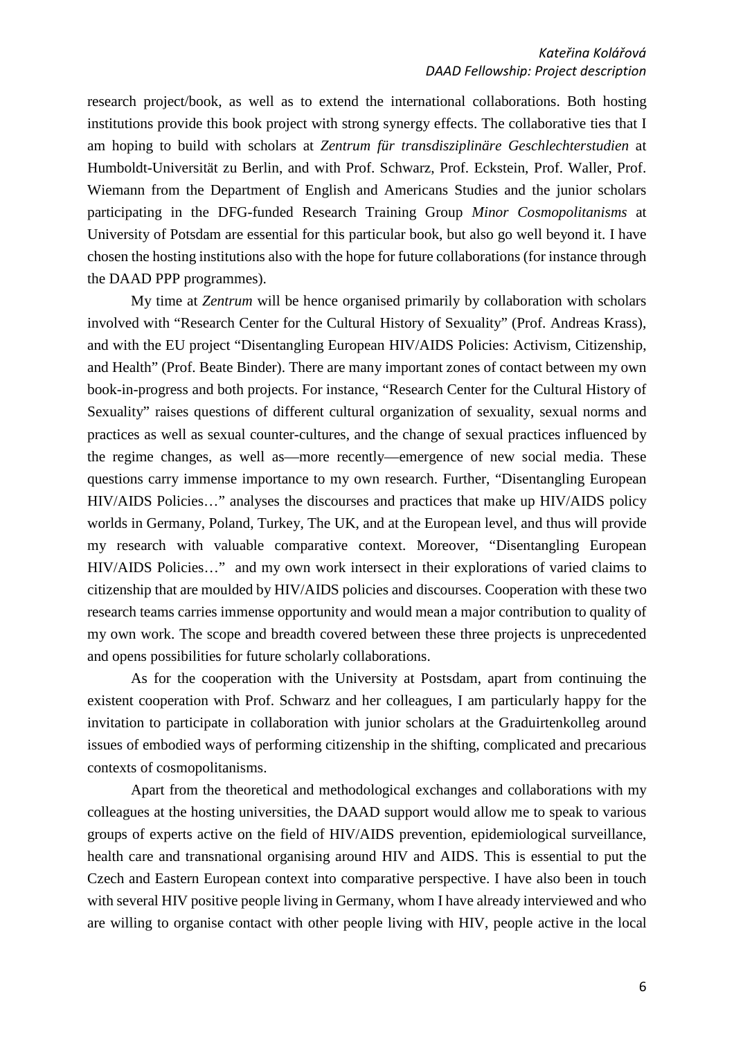research project/book, as well as to extend the international collaborations. Both hosting institutions provide this book project with strong synergy effects. The collaborative ties that I am hoping to build with scholars at *Zentrum für transdisziplinäre Geschlechterstudien* at Humboldt-Universität zu Berlin, and with Prof. Schwarz, Prof. Eckstein, Prof. Waller, Prof. Wiemann from the Department of English and Americans Studies and the junior scholars participating in the DFG-funded Research Training Group *Minor Cosmopolitanisms* at University of Potsdam are essential for this particular book, but also go well beyond it. I have chosen the hosting institutions also with the hope for future collaborations (for instance through the DAAD PPP programmes).

My time at *Zentrum* will be hence organised primarily by collaboration with scholars involved with "Research Center for the Cultural History of Sexuality" (Prof. Andreas Krass), and with the EU project "Disentangling European HIV/AIDS Policies: Activism, Citizenship, and Health" (Prof. Beate Binder). There are many important zones of contact between my own book-in-progress and both projects. For instance, "Research Center for the Cultural History of Sexuality" raises questions of different cultural organization of sexuality, sexual norms and practices as well as sexual counter-cultures, and the change of sexual practices influenced by the regime changes, as well as—more recently—emergence of new social media. These questions carry immense importance to my own research. Further, "Disentangling European HIV/AIDS Policies…" analyses the discourses and practices that make up HIV/AIDS policy worlds in Germany, Poland, Turkey, The UK, and at the European level, and thus will provide my research with valuable comparative context. Moreover, "Disentangling European HIV/AIDS Policies…" and my own work intersect in their explorations of varied claims to citizenship that are moulded by HIV/AIDS policies and discourses. Cooperation with these two research teams carries immense opportunity and would mean a major contribution to quality of my own work. The scope and breadth covered between these three projects is unprecedented and opens possibilities for future scholarly collaborations.

As for the cooperation with the University at Postsdam, apart from continuing the existent cooperation with Prof. Schwarz and her colleagues, I am particularly happy for the invitation to participate in collaboration with junior scholars at the Graduirtenkolleg around issues of embodied ways of performing citizenship in the shifting, complicated and precarious contexts of cosmopolitanisms.

Apart from the theoretical and methodological exchanges and collaborations with my colleagues at the hosting universities, the DAAD support would allow me to speak to various groups of experts active on the field of HIV/AIDS prevention, epidemiological surveillance, health care and transnational organising around HIV and AIDS. This is essential to put the Czech and Eastern European context into comparative perspective. I have also been in touch with several HIV positive people living in Germany, whom I have already interviewed and who are willing to organise contact with other people living with HIV, people active in the local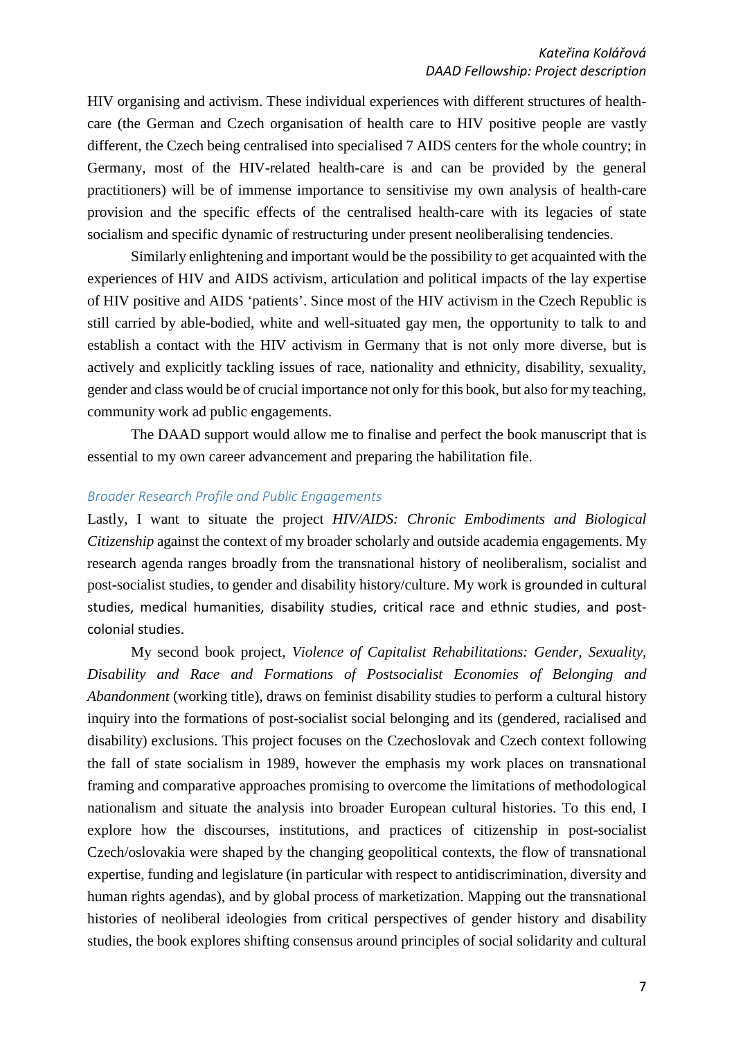HIV organising and activism. These individual experiences with different structures of healthcare (the German and Czech organisation of health care to HIV positive people are vastly different, the Czech being centralised into specialised 7 AIDS centers for the whole country; in Germany, most of the HIV-related health-care is and can be provided by the general practitioners) will be of immense importance to sensitivise my own analysis of health-care provision and the specific effects of the centralised health-care with its legacies of state socialism and specific dynamic of restructuring under present neoliberalising tendencies.

Similarly enlightening and important would be the possibility to get acquainted with the experiences of HIV and AIDS activism, articulation and political impacts of the lay expertise of HIV positive and AIDS 'patients'. Since most of the HIV activism in the Czech Republic is still carried by able-bodied, white and well-situated gay men, the opportunity to talk to and establish a contact with the HIV activism in Germany that is not only more diverse, but is actively and explicitly tackling issues of race, nationality and ethnicity, disability, sexuality, gender and class would be of crucial importance not only for this book, but also for my teaching, community work ad public engagements.

The DAAD support would allow me to finalise and perfect the book manuscript that is essential to my own career advancement and preparing the habilitation file.

## *Broader Research Profile and Public Engagements*

Lastly, I want to situate the project *HIV/AIDS: Chronic Embodiments and Biological Citizenship* against the context of my broader scholarly and outside academia engagements. My research agenda ranges broadly from the transnational history of neoliberalism, socialist and post-socialist studies, to gender and disability history/culture. My work is grounded in cultural studies, medical humanities, disability studies, critical race and ethnic studies, and postcolonial studies.

My second book project, *Violence of Capitalist Rehabilitations: Gender, Sexuality, Disability and Race and Formations of Postsocialist Economies of Belonging and Abandonment* (working title)*,* draws on feminist disability studies to perform a cultural history inquiry into the formations of post-socialist social belonging and its (gendered, racialised and disability) exclusions. This project focuses on the Czechoslovak and Czech context following the fall of state socialism in 1989, however the emphasis my work places on transnational framing and comparative approaches promising to overcome the limitations of methodological nationalism and situate the analysis into broader European cultural histories. To this end, I explore how the discourses, institutions, and practices of citizenship in post-socialist Czech/oslovakia were shaped by the changing geopolitical contexts, the flow of transnational expertise, funding and legislature (in particular with respect to antidiscrimination, diversity and human rights agendas), and by global process of marketization. Mapping out the transnational histories of neoliberal ideologies from critical perspectives of gender history and disability studies, the book explores shifting consensus around principles of social solidarity and cultural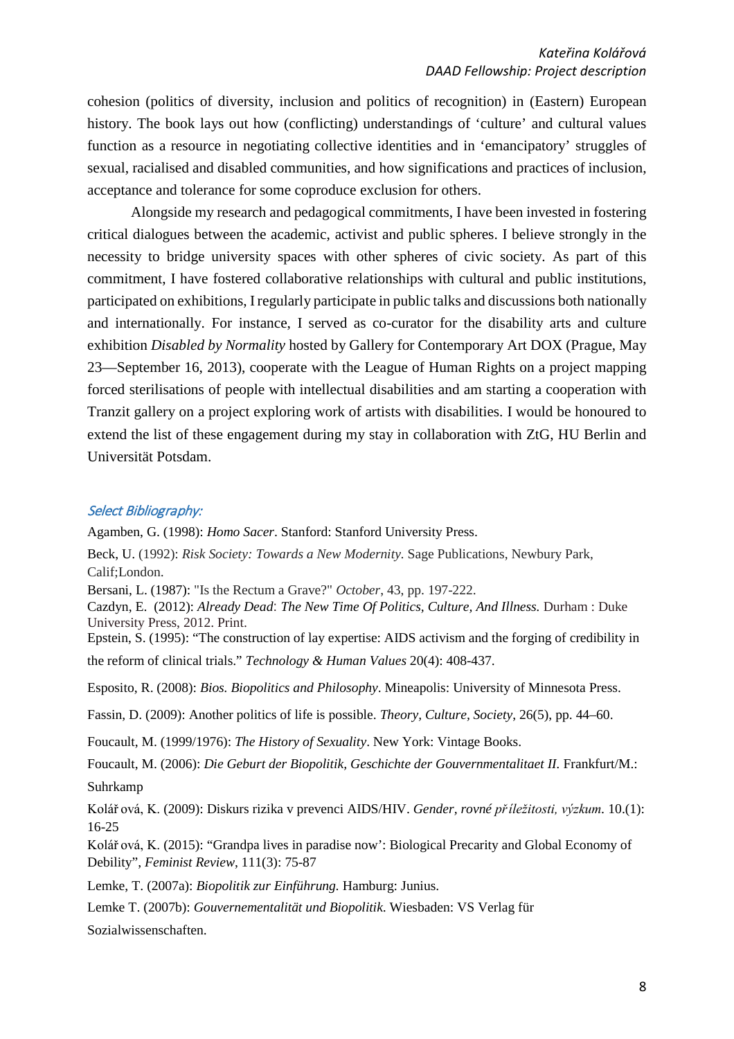cohesion (politics of diversity, inclusion and politics of recognition) in (Eastern) European history. The book lays out how (conflicting) understandings of 'culture' and cultural values function as a resource in negotiating collective identities and in 'emancipatory' struggles of sexual, racialised and disabled communities, and how significations and practices of inclusion, acceptance and tolerance for some coproduce exclusion for others.

Alongside my research and pedagogical commitments, I have been invested in fostering critical dialogues between the academic, activist and public spheres. I believe strongly in the necessity to bridge university spaces with other spheres of civic society. As part of this commitment, I have fostered collaborative relationships with cultural and public institutions, participated on exhibitions, I regularly participate in public talks and discussions both nationally and internationally. For instance, I served as co-curator for the disability arts and culture exhibition *Disabled by Normality* hosted by Gallery for Contemporary Art DOX (Prague, May 23—September 16, 2013), cooperate with the League of Human Rights on a project mapping forced sterilisations of people with intellectual disabilities and am starting a cooperation with Tranzit gallery on a project exploring work of artists with disabilities. I would be honoured to extend the list of these engagement during my stay in collaboration with ZtG, HU Berlin and Universität Potsdam.

## Select Bibliography:

Agamben, G. (1998): *Homo Sacer*. Stanford: Stanford University Press.

Beck, U. (1992): *Risk Society: Towards a New Modernity.* Sage Publications, Newbury Park, Calif;London.

Bersani, L. (1987): "Is the Rectum a Grave?" *October*, 43, pp. 197-222.

Cazdyn, E. (2012): *Already Dead*: *The New Time Of Politics, Culture, And Illness.* Durham : Duke University Press, 2012. Print.

Epstein, S. (1995): "The construction of lay expertise: AIDS activism and the forging of credibility in the reform of clinical trials." *Technology & Human Values* 20(4): 408-437.

Esposito, R. (2008): *Bios. Biopolitics and Philosophy*. Mineapolis: University of Minnesota Press.

Fassin, D. (2009): Another politics of life is possible. *Theory, Culture, Society*, 26(5), pp. 44–60.

Foucault, M. (1999/1976): *The History of Sexuality*. New York: Vintage Books.

Foucault, M. (2006): *Die Geburt der Biopolitik, Geschichte der Gouvernmentalitaet II.* Frankfurt/M.: Suhrkamp

Kolář ová, K. (2009): Diskurs rizika v prevenci AIDS/HIV. *Gender, rovné příležitosti, výzkum.* 10.(1): 16-25

Kolář ová, K. (2015): "Grandpa lives in paradise now': Biological Precarity and Global Economy of Debility", *Feminist Review*, 111(3): 75-87

Lemke, T. (2007a): *Biopolitik zur Einführung.* Hamburg: Junius.

Lemke T. (2007b): *Gouvernementalität und Biopolitik*. Wiesbaden: VS Verlag für

Sozialwissenschaften.